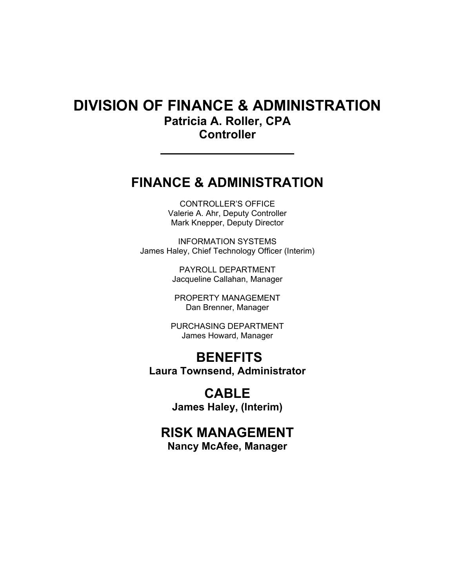# DIVISION OF FINANCE & ADMINISTRATION Patricia A. Roller, CPA **Controller**

# FINANCE & ADMINISTRATION

CONTROLLER'S OFFICE Valerie A. Ahr, Deputy Controller Mark Knepper, Deputy Director

INFORMATION SYSTEMS James Haley, Chief Technology Officer (Interim)

> PAYROLL DEPARTMENT Jacqueline Callahan, Manager

PROPERTY MANAGEMENT Dan Brenner, Manager

PURCHASING DEPARTMENT James Howard, Manager

# **BENEFITS** Laura Townsend, Administrator

# CABLE James Haley, (Interim)

# RISK MANAGEMENT

Nancy McAfee, Manager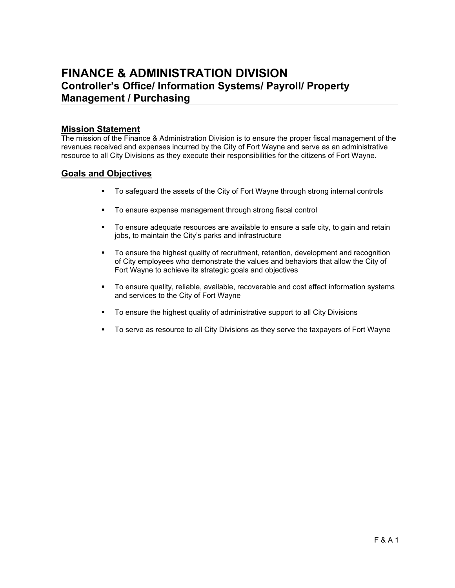# FINANCE & ADMINISTRATION DIVISION Controller's Office/ Information Systems/ Payroll/ Property Management / Purchasing

## Mission Statement

The mission of the Finance & Administration Division is to ensure the proper fiscal management of the revenues received and expenses incurred by the City of Fort Wayne and serve as an administrative resource to all City Divisions as they execute their responsibilities for the citizens of Fort Wayne.

## Goals and Objectives

- To safeguard the assets of the City of Fort Wayne through strong internal controls
- To ensure expense management through strong fiscal control
- To ensure adequate resources are available to ensure a safe city, to gain and retain jobs, to maintain the City's parks and infrastructure
- To ensure the highest quality of recruitment, retention, development and recognition of City employees who demonstrate the values and behaviors that allow the City of Fort Wayne to achieve its strategic goals and objectives
- To ensure quality, reliable, available, recoverable and cost effect information systems and services to the City of Fort Wayne
- To ensure the highest quality of administrative support to all City Divisions
- To serve as resource to all City Divisions as they serve the taxpayers of Fort Wayne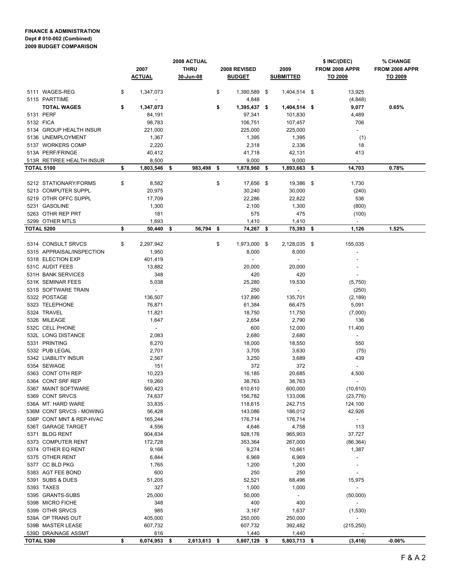#### FINANCE & ADMINISTRATION Dept # 010-002 (Combined) 2009 BUDGET COMPARISON

|                   |                           | 2008 ACTUAL |                |                  | \$ INC/(DEC)       | % CHANGE |                          |                          |                |
|-------------------|---------------------------|-------------|----------------|------------------|--------------------|----------|--------------------------|--------------------------|----------------|
|                   |                           |             | 2007           | <b>THRU</b>      | 2008 REVISED       |          | 2009                     | FROM 2008 APPR           | FROM 2008 APPR |
|                   |                           |             | <b>ACTUAL</b>  | 30-Jun-08        | <u>BUDGET</u>      |          | <u>SUBMITTED</u>         | <u>TO 2009</u>           | <u>TO 2009</u> |
|                   | 5111 WAGES-REG            | \$          | 1,347,073      |                  | \$<br>1,390,589 \$ |          | 1,404,514 \$             | 13,925                   |                |
|                   | 5115 PARTTIME             |             | $\overline{a}$ |                  | 4,848              |          |                          | (4,848)                  |                |
|                   | <b>TOTAL WAGES</b>        | \$          | 1,347,073      |                  | \$<br>1,395,437 \$ |          | 1,404,514 \$             | 9,077                    | 0.65%          |
|                   | 5131 PERF                 |             | 84,191         |                  | 97,341             |          | 101,830                  | 4,489                    |                |
|                   | 5132 FICA                 |             | 98,783         |                  | 106,751            |          | 107,457                  | 706                      |                |
|                   | 5134 GROUP HEALTH INSUR   |             | 221,000        |                  | 225,000            |          | 225,000                  | $\sim$                   |                |
|                   | 5136 UNEMPLOYMENT         |             | 1,367          |                  | 1,395              |          | 1,395                    | (1)                      |                |
|                   | 5137 WORKERS COMP         |             | 2,220          |                  | 2,318              |          | 2,336                    | 18                       |                |
|                   | 513A PERF/FRINGE          |             | 40,412         |                  | 41,718             |          | 42,131                   | 413                      |                |
|                   | 513R RETIREE HEALTH INSUR |             | 8,500          |                  | 9,000              |          | 9,000                    | $\sim$                   |                |
| <b>TOTAL 5100</b> |                           | \$          | 1,803,546      | 983,498 \$<br>\$ | 1,878,960          | -\$      | 1,893,663 \$             | 14,703                   | 0.78%          |
|                   |                           |             |                |                  |                    |          |                          |                          |                |
|                   | 5212 STATIONARY/FORMS     | \$          | 8,582          |                  | \$<br>17,656 \$    |          | 19,386 \$                | 1,730                    |                |
|                   | 5213 COMPUTER SUPPL       |             | 20,975         |                  | 30,240             |          | 30,000                   | (240)                    |                |
|                   | 5219 OTHR OFFC SUPPL      |             | 17,709         |                  | 22,286             |          | 22,822                   | 536                      |                |
|                   | 5231 GASOLINE             |             | 1,300          |                  | 2,100              |          | 1,300                    | (800)                    |                |
|                   | 5263 OTHR REP PRT         |             | 181            |                  | 575                |          | 475                      | (100)                    |                |
|                   | 5299 OTHER MTLS           |             | 1,693          |                  | 1,410              |          | 1,410                    | $\sim$                   |                |
| <b>TOTAL 5200</b> |                           | \$          | 50,440         | 56,794 \$<br>\$  | 74,267 \$          |          | 75,393 \$                | 1,126                    | 1.52%          |
|                   |                           |             |                |                  |                    |          |                          |                          |                |
|                   | 5314 CONSULT SRVCS        | \$          | 2,297,942      |                  | \$<br>1,973,000 \$ |          | 2,128,035 \$             | 155,035                  |                |
|                   | 5315 APPRAISAL/INSPECTION |             | 1,950          |                  | 8,000              |          | 8,000                    |                          |                |
|                   | 5318 ELECTION EXP         |             | 401,419        |                  | $\sim$             |          | $\overline{\phantom{a}}$ |                          |                |
|                   | 531C AUDIT FEES           |             | 13,882         |                  | 20,000             |          | 20,000                   |                          |                |
|                   | 531H BANK SERVICES        |             | 348            |                  | 420                |          | 420                      |                          |                |
|                   | 531K SEMINAR FEES         |             | 5,038          |                  | 25,280             |          | 19,530                   | (5,750)                  |                |
|                   | 531S SOFTWARE TRAIN       |             | $\sim$         |                  | 250                |          | $\sim$                   | (250)                    |                |
|                   | 5322 POSTAGE              |             | 136,507        |                  | 137,890            |          | 135,701                  | (2, 189)                 |                |
|                   | 5323 TELEPHONE            |             | 76,871         |                  | 61,384             |          | 66,475                   | 5,091                    |                |
|                   | 5324 TRAVEL               |             | 11,821         |                  | 18,750             |          | 11,750                   | (7,000)                  |                |
|                   | 5326 MILEAGE              |             | 1,647          |                  | 2,654              |          | 2,790                    | 136                      |                |
|                   | 532C CELL PHONE           |             | $\sim$         |                  | 600                |          | 12,000                   | 11,400                   |                |
|                   | 532L LONG DISTANCE        |             | 2,083          |                  | 2,680              |          | 2,680                    | $\sim$                   |                |
|                   | 5331 PRINTING             |             | 8,270          |                  | 18,000             |          | 18,550                   | 550                      |                |
|                   | 5332 PUB LEGAL            |             | 2,701          |                  | 3,705              |          | 3,630                    | (75)                     |                |
|                   | 5342 LIABILITY INSUR      |             | 2,567          |                  | 3,250              |          | 3,689                    | 439                      |                |
|                   | 5354 SEWAGE               |             | 151            |                  | 372                |          | 372                      | $\sim$                   |                |
|                   | 5363 CONT OTH REP         |             | 10,223         |                  | 16,185             |          | 20,685                   | 4,500                    |                |
|                   | 5364 CONT SRF REP         |             | 19,260         |                  | 38,763             |          | 38,763                   | $\overline{\phantom{a}}$ |                |
|                   | 5367 MAINT SOFTWARE       |             | 560,423        |                  | 610,610            |          | 600,000                  | (10, 610)                |                |
|                   | 5369 CONT SRVCS           |             | 74,637         |                  | 156,782            |          | 133,006                  | (23, 776)                |                |
|                   | 536A MT. HARD WARE        |             | 33,835         |                  | 118,615            |          | 242,715                  | 124,100                  |                |
|                   | 536M CONT SRVCS - MOWING  |             | 56,428         |                  | 143,086            |          | 186,012                  | 42,926                   |                |
|                   | 536P CONT MNT & REP-HVAC  |             | 165,244        |                  | 176,714            |          | 176,714                  | $\sim$                   |                |
|                   | 536T GARAGE TARGET        |             | 4,556          |                  | 4,646              |          | 4,758                    | 113                      |                |
|                   | 5371 BLDG RENT            |             | 904,834        |                  | 928,176            |          | 965,903                  | 37,727                   |                |
|                   | 5373 COMPUTER RENT        |             | 172,728        |                  | 353,364            |          | 267,000                  | (86, 364)                |                |
|                   | 5374 OTHER EQ RENT        |             | 9,166          |                  | 9,274              |          | 10,661                   | 1,387                    |                |
|                   | 5375 OTHER RENT           |             | 6,844          |                  | 6,969              |          | 6,969                    | $\overline{\phantom{a}}$ |                |
|                   | 5377 CC BLD PKG           |             | 1,765          |                  | 1,200              |          | 1,200                    | $\overline{a}$           |                |
|                   | 5383 AGT FEE BOND         |             | 600            |                  | 250                |          | 250                      | $\overline{\phantom{a}}$ |                |
|                   | 5391 SUBS & DUES          |             | 51,205         |                  | 52,521             |          | 68,496                   | 15,975                   |                |
|                   | 5393 TAXES                |             | 327            |                  | 1,000              |          | 1,000                    | $\blacksquare$           |                |
|                   | 5395 GRANTS-SUBS          |             | 25,000         |                  | 50,000             |          | $\blacksquare$           | (50,000)                 |                |
|                   | 5398 MICRO FICHE          |             | 348            |                  | 400                |          | 400                      | $\blacksquare$           |                |
|                   | 5399 OTHR SRVCS           |             | 985            |                  | 3,167              |          | 1,637                    | (1,530)                  |                |
|                   | 539A OP TRANS OUT         |             | 405,000        |                  | 250,000            |          | 250,000                  | $\overline{\phantom{a}}$ |                |
|                   | 539B MASTER LEASE         |             | 607,732        |                  | 607,732            |          | 392,482                  | (215, 250)               |                |
|                   | 539D DRAINAGE ASSMT       |             | 616            |                  | 1,440              |          | 1,440                    |                          |                |
| <b>TOTAL 5300</b> |                           | \$          | 6,074,953 \$   | 2,613,613 \$     | 5,807,129 \$       |          | 5,803,713 \$             | (3, 416)                 | $-0.06%$       |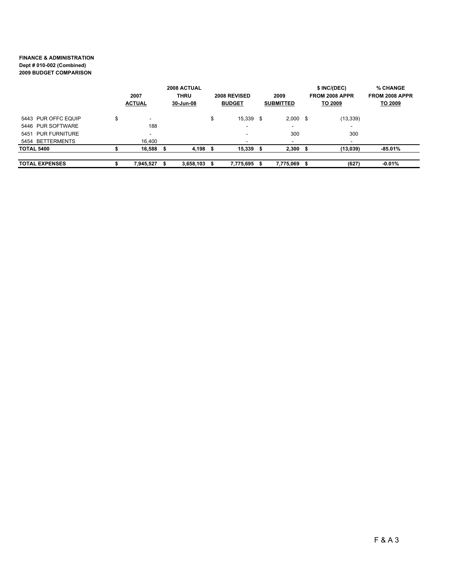#### FINANCE & ADMINISTRATION Dept # 010-002 (Combined) 2009 BUDGET COMPARISON

| 2007<br><b>ACTUAL</b> |    |                          |   | 2008 ACTUAL<br><b>THRU</b><br>30-Jun-08 | 2008 REVISED<br><b>BUDGET</b> |           | 2009<br><b>SUBMITTED</b> |                          |  | \$ INC/(DEC)<br>FROM 2008 APPR<br>TO 2009 | <b>% CHANGE</b><br>FROM 2008 APPR<br>TO 2009 |
|-----------------------|----|--------------------------|---|-----------------------------------------|-------------------------------|-----------|--------------------------|--------------------------|--|-------------------------------------------|----------------------------------------------|
| 5443 PUR OFFC EQUIP   | \$ | $\overline{\phantom{a}}$ |   |                                         | \$                            | 15,339    | \$                       | $2,000$ \$               |  | (13, 339)                                 |                                              |
| 5446 PUR SOFTWARE     |    | 188                      |   |                                         |                               |           |                          | $\overline{\phantom{a}}$ |  | $\overline{\phantom{a}}$                  |                                              |
| 5451 PUR FURNITURE    |    |                          |   |                                         |                               |           |                          | 300                      |  | 300                                       |                                              |
| 5454 BETTERMENTS      |    | 16.400                   |   |                                         |                               |           |                          | -                        |  | $\overline{\phantom{a}}$                  |                                              |
| <b>TOTAL 5400</b>     |    | 16,588                   | ъ | 4,198                                   | ъ                             | 15,339    | -56                      | $2,300$ \$               |  | (13,039)                                  | $-85.01\%$                                   |
|                       |    |                          |   |                                         |                               |           |                          |                          |  |                                           |                                              |
| <b>TOTAL EXPENSES</b> |    | 7,945,527                |   | 3,658,103                               |                               | 7,775,695 |                          | 7.775.069                |  | (627)                                     | $-0.01%$                                     |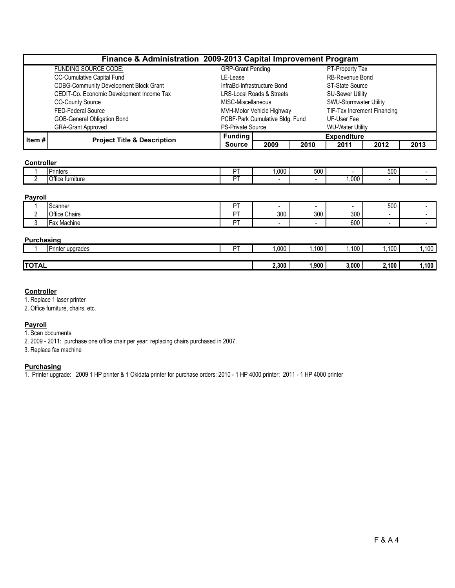|       | Finance & Administration 2009-2013 Capital Improvement Program |                          |                                 |      |                             |      |      |  |  |  |
|-------|----------------------------------------------------------------|--------------------------|---------------------------------|------|-----------------------------|------|------|--|--|--|
|       | <b>FUNDING SOURCE CODE:</b>                                    | <b>GRP-Grant Pending</b> |                                 |      | PT-Property Tax             |      |      |  |  |  |
|       | CC-Cumulative Capital Fund                                     | LE-Lease                 |                                 |      | <b>RB-Revenue Bond</b>      |      |      |  |  |  |
|       | <b>CDBG-Community Development Block Grant</b>                  |                          | InfraBd-Infrastructure Bond     |      | ST-State Source             |      |      |  |  |  |
|       | CEDIT-Co. Economic Development Income Tax                      |                          | LRS-Local Roads & Streets       |      | <b>SU-Sewer Utility</b>     |      |      |  |  |  |
|       | <b>CO-County Source</b>                                        | MISC-Miscellaneous       |                                 |      | SWU-Stormwater Utility      |      |      |  |  |  |
|       | FED-Federal Source                                             |                          | MVH-Motor Vehicle Highway       |      | TIF-Tax Increment Financing |      |      |  |  |  |
|       | <b>GOB-General Obligation Bond</b>                             |                          | PCBF-Park Cumulative Bldg. Fund |      | UF-User Fee                 |      |      |  |  |  |
|       | <b>GRA-Grant Approved</b>                                      | <b>PS-Private Source</b> |                                 |      | <b>WU-Water Utility</b>     |      |      |  |  |  |
| Item# | <b>Project Title &amp; Description</b>                         | <b>Funding</b>           |                                 |      | <b>Expenditure</b>          |      |      |  |  |  |
|       |                                                                | <b>Source</b>            | 2009                            | 2010 | 2011                        | 2012 | 2013 |  |  |  |

## **Controller**

| --<br>Printers        | $- -$ | 1,000 | $E^{\alpha}$<br><u></u><br>uu |      | $F_{00}$<br><b>UUC</b> |  |
|-----------------------|-------|-------|-------------------------------|------|------------------------|--|
| Office<br>: turnıture | $- -$ |       |                               | ,000 |                        |  |

#### Payroll

|   | Scanner                      | DT | $\overline{\phantom{0}}$ |     |     | 500 |  |
|---|------------------------------|----|--------------------------|-----|-----|-----|--|
| - | Office Chairs                | DT | 300                      | 300 | 300 |     |  |
|   | Machine<br>$-L \cap V$<br>a۸ | DT |                          |     | 600 |     |  |

## Purchasing

|              | . .<br>IPrinter upgrades | DT. | 000,  | 100  | ,100  | .100  | 100  |
|--------------|--------------------------|-----|-------|------|-------|-------|------|
|              |                          |     |       |      |       |       |      |
| <b>TOTAL</b> |                          |     | 2.300 | 900, | 3,000 | 2.100 | .100 |

## **Controller**

1. Replace 1 laser printer

2. Office furniture, chairs, etc.

## Payroll

1. Scan documents

2. 2009 - 2011: purchase one office chair per year; replacing chairs purchased in 2007.

3. Replace fax machine

## **Purchasing**

1. Printer upgrade: 2009 1 HP printer & 1 Okidata printer for purchase orders; 2010 - 1 HP 4000 printer; 2011 - 1 HP 4000 printer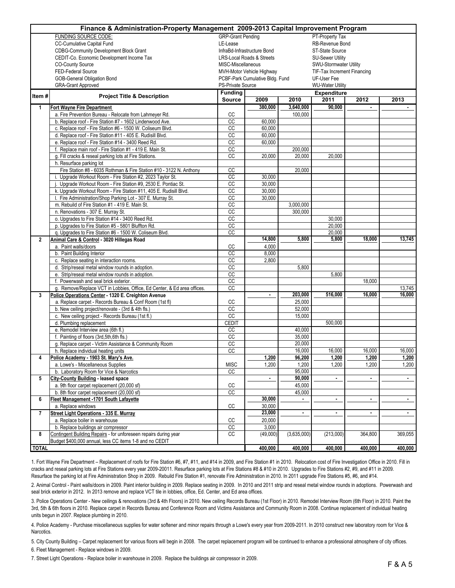|                | Finance & Administration-Property Management 2009-2013 Capital Improvement Program                             |                          |                                      |                |                                    |                |                  |
|----------------|----------------------------------------------------------------------------------------------------------------|--------------------------|--------------------------------------|----------------|------------------------------------|----------------|------------------|
|                | <b>FUNDING SOURCE CODE:</b>                                                                                    | <b>GRP-Grant Pending</b> |                                      |                | PT-Property Tax                    |                |                  |
|                | CC-Cumulative Capital Fund                                                                                     | LE-Lease                 |                                      |                | RB-Revenue Bond                    |                |                  |
|                | <b>CDBG-Community Development Block Grant</b>                                                                  |                          | InfraBd-Infrastructure Bond          |                | ST-State Source                    |                |                  |
|                | CEDIT-Co. Economic Development Income Tax                                                                      |                          | <b>LRS-Local Roads &amp; Streets</b> |                | <b>SU-Sewer Utility</b>            |                |                  |
|                | <b>CO-County Source</b>                                                                                        | MISC-Miscellaneous       |                                      |                | SWU-Stormwater Utility             |                |                  |
|                | FED-Federal Source                                                                                             |                          | MVH-Motor Vehicle Highway            |                | <b>TIF-Tax Increment Financing</b> |                |                  |
|                | GOB-General Obligation Bond                                                                                    |                          | PCBF-Park Cumulative Bldg. Fund      |                | UF-User Fee                        |                |                  |
|                | <b>GRA-Grant Approved</b>                                                                                      | <b>PS-Private Source</b> |                                      |                | <b>WU-Water Utility</b>            |                |                  |
| Item#          | <b>Project Title &amp; Description</b>                                                                         | <b>Funding</b>           |                                      |                | <b>Expenditure</b>                 |                |                  |
|                |                                                                                                                | Source                   | 2009                                 | 2010           | 2011                               | 2012           | 2013             |
| 1              | <b>Fort Wayne Fire Department</b>                                                                              |                          | 380,000                              | 3,640,000      | 90,000                             | $\blacksquare$ |                  |
|                | a. Fire Prevention Bureau - Relocate from Lahmeyer Rd.                                                         | CC                       |                                      | 100,000        |                                    |                |                  |
|                | b. Replace roof - Fire Station #7 - 1602 Lindenwood Ave.                                                       | CC                       | 60,000                               |                |                                    |                |                  |
|                | c. Replace roof - Fire Station #6 - 1500 W. Coliseum Blvd.                                                     | CC                       | 60,000                               |                |                                    |                |                  |
|                | d. Replace roof - Fire Station #11 - 405 E. Rudisill Blvd.                                                     | CC                       | 60,000                               |                |                                    |                |                  |
|                | e. Replace roof - Fire Station #14 - 3400 Reed Rd.                                                             | CC                       | 60,000                               |                |                                    |                |                  |
|                | f. Replace main roof - Fire Station #1 - 419 E. Main St.                                                       | CC                       |                                      | 200,000        |                                    |                |                  |
|                | g. Fill cracks & reseal parking lots at Fire Stations.                                                         | CC                       | 20,000                               | 20,000         | 20,000                             |                |                  |
|                | h. Resurface parking lot                                                                                       |                          |                                      |                |                                    |                |                  |
|                | Fire Station #8 - 6035 Rothman & Fire Station #10 - 3122 N. Anthony                                            | <b>CC</b>                |                                      | 20,000         |                                    |                |                  |
|                | i. Upgrade Workout Room - Fire Station #2, 2023 Taylor St.                                                     | CC                       | 30,000                               |                |                                    |                |                  |
|                | Upgrade Workout Room - Fire Station #9, 2530 E. Pontiac St.                                                    | CC                       | 30,000                               |                |                                    |                |                  |
|                | k. Upgrade Workout Room - Fire Station #11, 405 E. Rudisill Blvd.                                              | CC                       | 30,000                               |                |                                    |                |                  |
|                | I. Fire Administration/Shop Parking Lot - 307 E. Murray St.                                                    | CC                       | 30.000                               |                |                                    |                |                  |
|                | m. Rebuild of Fire Station #1 - 419 E. Main St.                                                                | CC                       |                                      | 3,000,000      |                                    |                |                  |
|                | n. Renovations - 307 E. Murray St.                                                                             | CC                       |                                      | 300.000        |                                    |                |                  |
|                | o. Upgrades to Fire Station #14 - 3400 Reed Rd.                                                                | CC                       |                                      |                | 30,000                             |                |                  |
|                | p. Upgrades to Fire Station #5 - 5801 Bluffton Rd.                                                             | CC                       |                                      |                | 20,000                             |                |                  |
|                | q. Upgrades to Fire Station #6 - 1500 W. Coliseum Blvd.                                                        | CC                       |                                      |                | 20,000                             |                |                  |
| $\overline{2}$ | Animal Care & Control - 3020 Hillegas Road                                                                     |                          | 14,800                               | 5,800          | 5,800                              | 18,000         | 13,745           |
|                | a. Paint walls/doors                                                                                           | СC                       | 4,000                                |                |                                    |                |                  |
|                | b. Paint Building Interior                                                                                     | CC                       | 8,000                                |                |                                    |                |                  |
|                | c. Replace seating in interaction rooms.                                                                       | СC                       | 2,800                                |                |                                    |                |                  |
|                | d. Strip/reseal metal window rounds in adoption.                                                               | CC                       |                                      | 5,800          |                                    |                |                  |
|                | e. Strip/reseal metal window rounds in adoption.                                                               | CC                       |                                      |                | 5,800                              |                |                  |
|                | f. Powerwash and seal brick exterior.                                                                          | <b>CC</b>                |                                      |                |                                    | 18,000         |                  |
|                | g. Remove/Replace VCT in Lobbies, Office, Ed Center, & Ed area offices.                                        | CC                       |                                      | 203,000        | 516,000                            | 16,000         | 13,745<br>16,000 |
| 3              | Police Operations Center - 1320 E. Creighton Avenue<br>a. Replace carpet - Records Bureau & Conf Room (1st fl) | CC                       |                                      | 25,000         |                                    |                |                  |
|                |                                                                                                                | $\overline{cc}$          |                                      | 52,000         |                                    |                |                  |
|                | b. New ceiling project/renovate - (3rd & 4th fls.)<br>c. New ceiling project - Records Bureau (1st fl.)        | CC                       |                                      | 15,000         |                                    |                |                  |
|                | d. Plumbing replacement                                                                                        | <b>CEDIT</b>             |                                      |                | 500,000                            |                |                  |
|                | e. Remodel Interview area (6th fl.)                                                                            | CC                       |                                      | 40,000         |                                    |                |                  |
|                | f. Painting of floors (3rd, 5th, 6th fls.)                                                                     | CC                       |                                      | 35,000         |                                    |                |                  |
|                |                                                                                                                | CC                       |                                      | 20,000         |                                    |                |                  |
|                | g. Replace carpet - Victim Assistance & Community Room<br>h. Replace individual heating units                  | CC                       |                                      | 16,000         | 16,000                             | 16,000         | 16,000           |
|                | Police Academy - 1903 St. Mary's Ave.                                                                          |                          | 1,200                                | 96,200         | 1,200                              | 1,200          | 1,200            |
|                | a. Lowe's - Miscellaneous Supplies                                                                             | <b>MISC</b>              | 1,200                                | 1,200          | 1,200                              | 1,200          | 1,200            |
|                | b. Laboratory Room for Vice & Narcotics                                                                        | <b>CC</b>                |                                      | 95,000         |                                    |                |                  |
| 5              | <b>City-County Building - leased space</b>                                                                     |                          | $\blacksquare$                       | 90,000         | $\blacksquare$                     | ٠              | $\blacksquare$   |
|                | a. 9th floor carpet replacement (20,000 sf)                                                                    | CC                       |                                      | 45,000         |                                    |                |                  |
|                | b. 8th floor carpet replacement (20,000 sf)                                                                    | cc                       |                                      | 45,000         |                                    |                |                  |
| 6              | Fleet Management -1701 South Lafayette                                                                         |                          | 30,000                               |                | ٠                                  | $\blacksquare$ | $\bullet$        |
|                | a. Replace windows                                                                                             | CC                       | 30,000                               |                |                                    |                |                  |
| $\overline{1}$ | Street Light Operations - 335 E. Murray                                                                        |                          | 23,000                               | $\blacksquare$ | $\blacksquare$                     | $\blacksquare$ | ÷                |
|                | a. Replace boiler in warehouse                                                                                 | CC                       | 20,000                               |                |                                    |                |                  |
|                | b. Replace buildings air compressor                                                                            | $_{\rm CC}$              | 3,000                                |                |                                    |                |                  |
| 8              | Contingent Building Repairs - for unforeseen repairs during year                                               | cc                       | (49,000)                             | (3,635,000)    | (213,000)                          | 364,800        | 369,055          |
|                | Budget \$400,000 annual, less CC items 1-8 and no CEDIT                                                        |                          |                                      |                |                                    |                |                  |
| <b>TOTAL</b>   |                                                                                                                |                          | 400,000                              | 400,000        | 400,000                            | 400,000        | 400,000          |
|                |                                                                                                                |                          |                                      |                |                                    |                |                  |

1. Fort Wayne Fire Department – Replacement of roofs for Fire Station #6, #7, #11, and #14 in 2009, and Fire Station #1 in 2010. Relocation cost of Fire Investigation Office in 2010. Fill in cracks and reseal parking lots at Fire Stations every year 2009-20011. Resurface parking lots at Fire Stations #8 & #10 in 2010. Upgrades to Fire Stations #2, #9, and #11 in 2009. Resurface the parking lot at Fire Administration Shop in 2009. Rebuild Fire Station #1, renovate Fire Administration in 2010. In 2011 upgrade Fire Stations #5, #6, and #14.

2. Animal Control - Paint walls/doors in 2009. Paint interior building in 2009. Replace seating in 2009. In 2010 and 2011 strip and reseal metal window rounds in adoptions. Powerwash and seal brick exterior in 2012. In 2013 remove and replace VCT tile in lobbies, office, Ed. Center, and Ed area offices.

3. Police Operations Center - New ceilings & renovations (3rd & 4th Floors) in 2010. New ceiling Records Bureau (1st Floor) in 2010. Remodel Interview Room (6th Floor) in 2010. Paint the 3rd, 5th & 6th floors in 2010. Replace carpet in Records Bureau and Conference Room and Victims Assistance and Community Room in 2008. Continue replacement of individual heating units begun in 2007. Replace plumbing in 2010.

4. Police Academy - Purchase miscellaneous supplies for water softener and minor repairs through a Lowe's every year from 2009-2011. In 2010 construct new laboratory room for Vice & Narcotics.

5. City County Building – Carpet replacement for various floors will begin in 2008. The carpet replacement program will be continued to enhance a professional atmosphere of city offices. 6. Fleet Management - Replace windows in 2009.

7. Street Light Operations - Replace boiler in warehouse in 2009. Replace the buildings air compressor in 2009.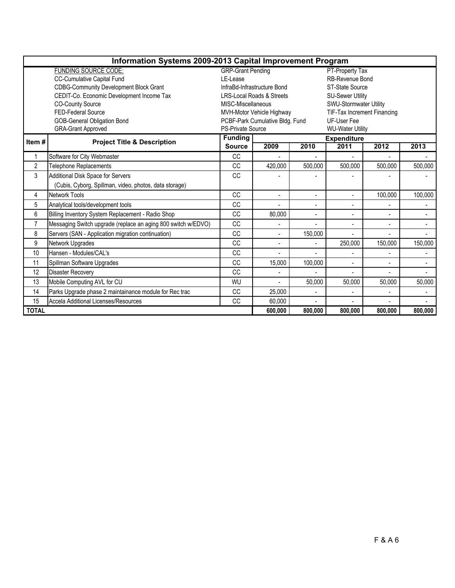|                | Information Systems 2009-2013 Capital Improvement Program     |                                 |                                 |                         |                             |                |                |  |  |  |
|----------------|---------------------------------------------------------------|---------------------------------|---------------------------------|-------------------------|-----------------------------|----------------|----------------|--|--|--|
|                | <b>FUNDING SOURCE CODE:</b>                                   | <b>GRP-Grant Pending</b>        |                                 |                         | PT-Property Tax             |                |                |  |  |  |
|                | CC-Cumulative Capital Fund                                    | I F-I ease                      |                                 |                         | RB-Revenue Bond             |                |                |  |  |  |
|                | <b>CDBG-Community Development Block Grant</b>                 |                                 | InfraBd-Infrastructure Bond     |                         | ST-State Source             |                |                |  |  |  |
|                | CEDIT-Co. Economic Development Income Tax                     |                                 | LRS-Local Roads & Streets       |                         | <b>SU-Sewer Utility</b>     |                |                |  |  |  |
|                | <b>CO-County Source</b>                                       | MISC-Miscellaneous              |                                 |                         | SWU-Stormwater Utility      |                |                |  |  |  |
|                | FED-Federal Source                                            |                                 | MVH-Motor Vehicle Highway       |                         | TIF-Tax Increment Financing |                |                |  |  |  |
|                | <b>GOB-General Obligation Bond</b>                            |                                 | PCBF-Park Cumulative Bldg. Fund |                         | <b>UF-User Fee</b>          |                |                |  |  |  |
|                | <b>GRA-Grant Approved</b>                                     | PS-Private Source               |                                 | <b>WU-Water Utility</b> |                             |                |                |  |  |  |
| Item#          | <b>Project Title &amp; Description</b>                        | <b>Funding</b><br><b>Source</b> |                                 |                         | <b>Expenditure</b>          |                |                |  |  |  |
|                |                                                               |                                 | 2009                            | 2010                    | 2011                        | 2012           | 2013           |  |  |  |
|                | Software for City Webmaster                                   | CC                              |                                 |                         |                             |                |                |  |  |  |
| $\overline{2}$ | <b>Telephone Replacements</b>                                 | <sub>CC</sub>                   | 420,000                         | 500,000                 | 500.000                     | 500.000        | 500,000        |  |  |  |
| 3              | Additional Disk Space for Servers                             | <b>CC</b>                       |                                 |                         |                             |                |                |  |  |  |
|                | (Cubis, Cyborg, Spillman, video, photos, data storage)        |                                 |                                 |                         |                             |                |                |  |  |  |
| 4              | Network Tools                                                 | CC                              | $\overline{a}$                  | $\overline{a}$          |                             | 100,000        | 100,000        |  |  |  |
| 5              | Analytical tools/development tools                            | <b>CC</b>                       |                                 |                         |                             |                |                |  |  |  |
| 6              | Billing Inventory System Replacement - Radio Shop             | <b>CC</b>                       | 80,000                          |                         |                             |                | $\overline{a}$ |  |  |  |
| $\overline{7}$ | Messaging Switch upgrade (replace an aging 800 switch w/EDVO) | <b>CC</b>                       |                                 |                         |                             | $\overline{a}$ |                |  |  |  |
| 8              | Servers (SAN - Application migration continuation)            | CC                              | $\overline{a}$                  | 150,000                 |                             | $\overline{a}$ |                |  |  |  |
| 9              | Network Upgrades                                              | CC                              | $\overline{a}$                  | $\blacksquare$          | 250,000                     | 150,000        | 150,000        |  |  |  |
| 10             | Hansen - Modules/CAL's                                        | <b>CC</b>                       |                                 |                         |                             |                |                |  |  |  |
| 11             | Spillman Software Upgrades                                    | <b>CC</b>                       | 15,000                          | 100,000                 |                             | $\blacksquare$ |                |  |  |  |
| 12             | <b>Disaster Recoverv</b>                                      | CC                              |                                 |                         |                             |                |                |  |  |  |
| 13             | Mobile Computing AVL for CU                                   | WU                              | $\blacksquare$                  | 50,000                  | 50,000                      | 50,000         | 50,000         |  |  |  |
| 14             | Parks Upgrade phase 2 maintainance module for Rec trac        | CC                              | 25,000                          |                         |                             |                |                |  |  |  |
| 15             | <b>Accela Additional Licenses/Resources</b>                   | CC                              | 60,000                          |                         |                             |                |                |  |  |  |
| <b>TOTAL</b>   |                                                               |                                 | 600,000                         | 800,000                 | 800,000                     | 800,000        | 800,000        |  |  |  |